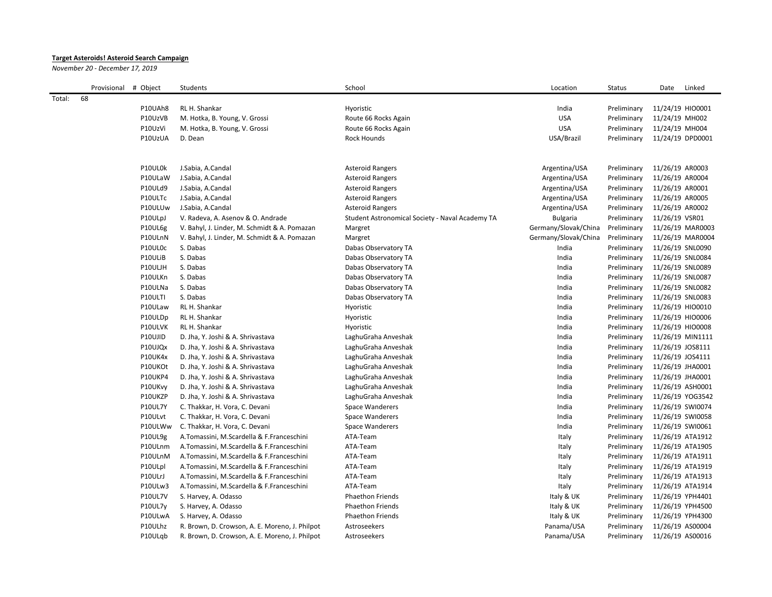## **Target Asteroids! Asteroid Search Campaign**

*November 20 - December 17, 2019*

| 68<br>11/24/19 HIO0001<br>P10UAh8<br>RL H. Shankar<br>Hyoristic<br>India<br>Preliminary<br><b>USA</b><br>P10UzVB<br>11/24/19 MH002<br>M. Hotka, B. Young, V. Grossi<br>Route 66 Rocks Again<br>Preliminary<br>P10UzVi<br><b>USA</b><br>M. Hotka, B. Young, V. Grossi<br>Route 66 Rocks Again<br>Preliminary<br>11/24/19 MH004<br>P10UzUA<br><b>Rock Hounds</b><br>USA/Brazil<br>Preliminary<br>11/24/19 DPD0001<br>D. Dean<br>11/26/19 AR0003<br>P10UL0k<br>J.Sabia, A.Candal<br><b>Asteroid Rangers</b><br>Argentina/USA<br>Preliminary<br>P10ULaW<br>11/26/19 AR0004<br>J.Sabia, A.Candal<br><b>Asteroid Rangers</b><br>Argentina/USA<br>Preliminary<br>P10ULd9<br>J.Sabia, A.Candal<br>Argentina/USA<br>Preliminary<br>11/26/19 AR0001<br><b>Asteroid Rangers</b><br>P10ULTc<br>J.Sabia, A.Candal<br><b>Asteroid Rangers</b><br>Argentina/USA<br>Preliminary<br>11/26/19 AR0005<br>P10ULUw<br>Argentina/USA<br>J.Sabia, A.Candal<br><b>Asteroid Rangers</b><br>Preliminary<br>11/26/19 AR0002<br>P10ULpJ<br>V. Radeva, A. Asenov & O. Andrade<br><b>Bulgaria</b><br>Preliminary<br>11/26/19 VSR01<br>Student Astronomical Society - Naval Academy TA<br>Germany/Slovak/China<br>P10UL6g<br>V. Bahyl, J. Linder, M. Schmidt & A. Pomazan<br>Preliminary<br>11/26/19 MAR0003<br>Margret<br>P10ULnN<br>Germany/Slovak/China<br>11/26/19 MAR0004<br>V. Bahyl, J. Linder, M. Schmidt & A. Pomazan<br>Margret<br>Preliminary<br>P10UL0c<br>S. Dabas<br>India<br>Preliminary<br>11/26/19 SNL0090<br>Dabas Observatory TA<br>P10ULiB<br>India<br>S. Dabas<br>Dabas Observatory TA<br>Preliminary<br>11/26/19 SNL0084<br>P10ULJH<br>India<br>S. Dabas<br>Dabas Observatory TA<br>Preliminary<br>11/26/19 SNL0089<br>P10ULKn<br>S. Dabas<br>Dabas Observatory TA<br>India<br>Preliminary<br>11/26/19 SNL0087<br>P10ULNa<br>India<br>S. Dabas<br>Dabas Observatory TA<br>Preliminary<br>11/26/19 SNL0082<br>P10ULTI<br>S. Dabas<br>Dabas Observatory TA<br>India<br>11/26/19 SNL0083<br>Preliminary<br>P10ULaw<br>RL H. Shankar<br>Hyoristic<br>India<br>Preliminary<br>11/26/19 HIO0010<br>India<br>P10ULDp<br>RL H. Shankar<br>Hyoristic<br>Preliminary<br>11/26/19 HIO0006<br>P10ULVK<br>India<br>11/26/19 HIO0008<br>RL H. Shankar<br>Hyoristic<br>Preliminary<br>P10UJID<br>India<br>Preliminary<br>11/26/19 MIN1111<br>D. Jha, Y. Joshi & A. Shrivastava<br>LaghuGraha Anveshak<br>P10UJQx<br>India<br>Preliminary<br>11/26/19 JOS8111<br>D. Jha, Y. Joshi & A. Shrivastava<br>LaghuGraha Anveshak<br>P10UK4x<br>D. Jha, Y. Joshi & A. Shrivastava<br>India<br>Preliminary<br>11/26/19 JOS4111<br>LaghuGraha Anveshak<br>P10UKOt<br>D. Jha, Y. Joshi & A. Shrivastava<br>LaghuGraha Anveshak<br>India<br>Preliminary<br>11/26/19 JHA0001<br>P10UKP4<br>India<br>D. Jha, Y. Joshi & A. Shrivastava<br>LaghuGraha Anveshak<br>Preliminary<br>11/26/19 JHA0001<br>P10UKvy<br>India<br>Preliminary<br>11/26/19 ASH0001<br>D. Jha, Y. Joshi & A. Shrivastava<br>LaghuGraha Anveshak<br>India<br>P10UKZP<br>Preliminary<br>11/26/19 YOG3542<br>D. Jha, Y. Joshi & A. Shrivastava<br>LaghuGraha Anveshak<br>P10UL7Y<br>India<br>11/26/19 SWI0074<br>C. Thakkar, H. Vora, C. Devani<br><b>Space Wanderers</b><br>Preliminary<br>P10ULvt<br>C. Thakkar, H. Vora, C. Devani<br>India<br>Preliminary<br>11/26/19 SWI0058<br><b>Space Wanderers</b><br>P10ULWw<br>C. Thakkar, H. Vora, C. Devani<br>India<br>Preliminary<br>11/26/19 SWI0061<br>Space Wanderers<br>P10UL9g<br>ATA-Team<br>Italy<br>Preliminary<br>11/26/19 ATA1912<br>A.Tomassini, M.Scardella & F.Franceschini<br>P10ULnm<br>ATA-Team<br>A.Tomassini, M.Scardella & F.Franceschini<br>Italy<br>Preliminary<br>11/26/19 ATA1905<br>P10ULnM<br>A.Tomassini, M.Scardella & F.Franceschini<br>ATA-Team<br>Italy<br>Preliminary<br>11/26/19 ATA1911<br>P10ULpl<br>ATA-Team<br>Preliminary<br>11/26/19 ATA1919<br>A.Tomassini, M.Scardella & F.Franceschini<br>Italy<br>P10ULrJ<br>ATA-Team<br>A.Tomassini, M.Scardella & F.Franceschini<br>Italy<br>Preliminary<br>11/26/19 ATA1913<br>P10ULw3<br>A.Tomassini, M.Scardella & F.Franceschini<br>ATA-Team<br>Preliminary<br>11/26/19 ATA1914<br>Italy<br>P10UL7V<br>S. Harvey, A. Odasso<br><b>Phaethon Friends</b><br>Italy & UK<br>Preliminary<br>11/26/19 YPH4401<br>P10UL7y<br>S. Harvey, A. Odasso<br>Phaethon Friends<br>Italy & UK<br>11/26/19 YPH4500<br>Preliminary<br>P10ULwA<br>S. Harvey, A. Odasso<br><b>Phaethon Friends</b><br>Italy & UK<br>Preliminary<br>11/26/19 YPH4300<br>P10ULhz<br>R. Brown, D. Crowson, A. E. Moreno, J. Philpot<br>Astroseekers<br>Panama/USA<br>Preliminary<br>11/26/19 AS00004<br>P10ULgb<br>Astroseekers<br>Panama/USA<br>11/26/19 AS00016<br>R. Brown, D. Crowson, A. E. Moreno, J. Philpot<br>Preliminary |        | Provisional # Object | Students | School | Location | <b>Status</b> | Date<br>Linked |
|-----------------------------------------------------------------------------------------------------------------------------------------------------------------------------------------------------------------------------------------------------------------------------------------------------------------------------------------------------------------------------------------------------------------------------------------------------------------------------------------------------------------------------------------------------------------------------------------------------------------------------------------------------------------------------------------------------------------------------------------------------------------------------------------------------------------------------------------------------------------------------------------------------------------------------------------------------------------------------------------------------------------------------------------------------------------------------------------------------------------------------------------------------------------------------------------------------------------------------------------------------------------------------------------------------------------------------------------------------------------------------------------------------------------------------------------------------------------------------------------------------------------------------------------------------------------------------------------------------------------------------------------------------------------------------------------------------------------------------------------------------------------------------------------------------------------------------------------------------------------------------------------------------------------------------------------------------------------------------------------------------------------------------------------------------------------------------------------------------------------------------------------------------------------------------------------------------------------------------------------------------------------------------------------------------------------------------------------------------------------------------------------------------------------------------------------------------------------------------------------------------------------------------------------------------------------------------------------------------------------------------------------------------------------------------------------------------------------------------------------------------------------------------------------------------------------------------------------------------------------------------------------------------------------------------------------------------------------------------------------------------------------------------------------------------------------------------------------------------------------------------------------------------------------------------------------------------------------------------------------------------------------------------------------------------------------------------------------------------------------------------------------------------------------------------------------------------------------------------------------------------------------------------------------------------------------------------------------------------------------------------------------------------------------------------------------------------------------------------------------------------------------------------------------------------------------------------------------------------------------------------------------------------------------------------------------------------------------------------------------------------------------------------------------------------------------------------------------------------------------------------------------------------------------------------------------------------------------------------------------------------------------------------------------------------------------------------------------------------------------------------------------------------------------------------------------------------------------------------------------------------------------------------------------------------------------------------------------------------------------------------------------------------------------------------------------------------------------------------------------------------|--------|----------------------|----------|--------|----------|---------------|----------------|
|                                                                                                                                                                                                                                                                                                                                                                                                                                                                                                                                                                                                                                                                                                                                                                                                                                                                                                                                                                                                                                                                                                                                                                                                                                                                                                                                                                                                                                                                                                                                                                                                                                                                                                                                                                                                                                                                                                                                                                                                                                                                                                                                                                                                                                                                                                                                                                                                                                                                                                                                                                                                                                                                                                                                                                                                                                                                                                                                                                                                                                                                                                                                                                                                                                                                                                                                                                                                                                                                                                                                                                                                                                                                                                                                                                                                                                                                                                                                                                                                                                                                                                                                                                                                                                                                                                                                                                                                                                                                                                                                                                                                                                                                                                                                                     | Total: |                      |          |        |          |               |                |
|                                                                                                                                                                                                                                                                                                                                                                                                                                                                                                                                                                                                                                                                                                                                                                                                                                                                                                                                                                                                                                                                                                                                                                                                                                                                                                                                                                                                                                                                                                                                                                                                                                                                                                                                                                                                                                                                                                                                                                                                                                                                                                                                                                                                                                                                                                                                                                                                                                                                                                                                                                                                                                                                                                                                                                                                                                                                                                                                                                                                                                                                                                                                                                                                                                                                                                                                                                                                                                                                                                                                                                                                                                                                                                                                                                                                                                                                                                                                                                                                                                                                                                                                                                                                                                                                                                                                                                                                                                                                                                                                                                                                                                                                                                                                                     |        |                      |          |        |          |               |                |
|                                                                                                                                                                                                                                                                                                                                                                                                                                                                                                                                                                                                                                                                                                                                                                                                                                                                                                                                                                                                                                                                                                                                                                                                                                                                                                                                                                                                                                                                                                                                                                                                                                                                                                                                                                                                                                                                                                                                                                                                                                                                                                                                                                                                                                                                                                                                                                                                                                                                                                                                                                                                                                                                                                                                                                                                                                                                                                                                                                                                                                                                                                                                                                                                                                                                                                                                                                                                                                                                                                                                                                                                                                                                                                                                                                                                                                                                                                                                                                                                                                                                                                                                                                                                                                                                                                                                                                                                                                                                                                                                                                                                                                                                                                                                                     |        |                      |          |        |          |               |                |
|                                                                                                                                                                                                                                                                                                                                                                                                                                                                                                                                                                                                                                                                                                                                                                                                                                                                                                                                                                                                                                                                                                                                                                                                                                                                                                                                                                                                                                                                                                                                                                                                                                                                                                                                                                                                                                                                                                                                                                                                                                                                                                                                                                                                                                                                                                                                                                                                                                                                                                                                                                                                                                                                                                                                                                                                                                                                                                                                                                                                                                                                                                                                                                                                                                                                                                                                                                                                                                                                                                                                                                                                                                                                                                                                                                                                                                                                                                                                                                                                                                                                                                                                                                                                                                                                                                                                                                                                                                                                                                                                                                                                                                                                                                                                                     |        |                      |          |        |          |               |                |
|                                                                                                                                                                                                                                                                                                                                                                                                                                                                                                                                                                                                                                                                                                                                                                                                                                                                                                                                                                                                                                                                                                                                                                                                                                                                                                                                                                                                                                                                                                                                                                                                                                                                                                                                                                                                                                                                                                                                                                                                                                                                                                                                                                                                                                                                                                                                                                                                                                                                                                                                                                                                                                                                                                                                                                                                                                                                                                                                                                                                                                                                                                                                                                                                                                                                                                                                                                                                                                                                                                                                                                                                                                                                                                                                                                                                                                                                                                                                                                                                                                                                                                                                                                                                                                                                                                                                                                                                                                                                                                                                                                                                                                                                                                                                                     |        |                      |          |        |          |               |                |
|                                                                                                                                                                                                                                                                                                                                                                                                                                                                                                                                                                                                                                                                                                                                                                                                                                                                                                                                                                                                                                                                                                                                                                                                                                                                                                                                                                                                                                                                                                                                                                                                                                                                                                                                                                                                                                                                                                                                                                                                                                                                                                                                                                                                                                                                                                                                                                                                                                                                                                                                                                                                                                                                                                                                                                                                                                                                                                                                                                                                                                                                                                                                                                                                                                                                                                                                                                                                                                                                                                                                                                                                                                                                                                                                                                                                                                                                                                                                                                                                                                                                                                                                                                                                                                                                                                                                                                                                                                                                                                                                                                                                                                                                                                                                                     |        |                      |          |        |          |               |                |
|                                                                                                                                                                                                                                                                                                                                                                                                                                                                                                                                                                                                                                                                                                                                                                                                                                                                                                                                                                                                                                                                                                                                                                                                                                                                                                                                                                                                                                                                                                                                                                                                                                                                                                                                                                                                                                                                                                                                                                                                                                                                                                                                                                                                                                                                                                                                                                                                                                                                                                                                                                                                                                                                                                                                                                                                                                                                                                                                                                                                                                                                                                                                                                                                                                                                                                                                                                                                                                                                                                                                                                                                                                                                                                                                                                                                                                                                                                                                                                                                                                                                                                                                                                                                                                                                                                                                                                                                                                                                                                                                                                                                                                                                                                                                                     |        |                      |          |        |          |               |                |
|                                                                                                                                                                                                                                                                                                                                                                                                                                                                                                                                                                                                                                                                                                                                                                                                                                                                                                                                                                                                                                                                                                                                                                                                                                                                                                                                                                                                                                                                                                                                                                                                                                                                                                                                                                                                                                                                                                                                                                                                                                                                                                                                                                                                                                                                                                                                                                                                                                                                                                                                                                                                                                                                                                                                                                                                                                                                                                                                                                                                                                                                                                                                                                                                                                                                                                                                                                                                                                                                                                                                                                                                                                                                                                                                                                                                                                                                                                                                                                                                                                                                                                                                                                                                                                                                                                                                                                                                                                                                                                                                                                                                                                                                                                                                                     |        |                      |          |        |          |               |                |
|                                                                                                                                                                                                                                                                                                                                                                                                                                                                                                                                                                                                                                                                                                                                                                                                                                                                                                                                                                                                                                                                                                                                                                                                                                                                                                                                                                                                                                                                                                                                                                                                                                                                                                                                                                                                                                                                                                                                                                                                                                                                                                                                                                                                                                                                                                                                                                                                                                                                                                                                                                                                                                                                                                                                                                                                                                                                                                                                                                                                                                                                                                                                                                                                                                                                                                                                                                                                                                                                                                                                                                                                                                                                                                                                                                                                                                                                                                                                                                                                                                                                                                                                                                                                                                                                                                                                                                                                                                                                                                                                                                                                                                                                                                                                                     |        |                      |          |        |          |               |                |
|                                                                                                                                                                                                                                                                                                                                                                                                                                                                                                                                                                                                                                                                                                                                                                                                                                                                                                                                                                                                                                                                                                                                                                                                                                                                                                                                                                                                                                                                                                                                                                                                                                                                                                                                                                                                                                                                                                                                                                                                                                                                                                                                                                                                                                                                                                                                                                                                                                                                                                                                                                                                                                                                                                                                                                                                                                                                                                                                                                                                                                                                                                                                                                                                                                                                                                                                                                                                                                                                                                                                                                                                                                                                                                                                                                                                                                                                                                                                                                                                                                                                                                                                                                                                                                                                                                                                                                                                                                                                                                                                                                                                                                                                                                                                                     |        |                      |          |        |          |               |                |
|                                                                                                                                                                                                                                                                                                                                                                                                                                                                                                                                                                                                                                                                                                                                                                                                                                                                                                                                                                                                                                                                                                                                                                                                                                                                                                                                                                                                                                                                                                                                                                                                                                                                                                                                                                                                                                                                                                                                                                                                                                                                                                                                                                                                                                                                                                                                                                                                                                                                                                                                                                                                                                                                                                                                                                                                                                                                                                                                                                                                                                                                                                                                                                                                                                                                                                                                                                                                                                                                                                                                                                                                                                                                                                                                                                                                                                                                                                                                                                                                                                                                                                                                                                                                                                                                                                                                                                                                                                                                                                                                                                                                                                                                                                                                                     |        |                      |          |        |          |               |                |
|                                                                                                                                                                                                                                                                                                                                                                                                                                                                                                                                                                                                                                                                                                                                                                                                                                                                                                                                                                                                                                                                                                                                                                                                                                                                                                                                                                                                                                                                                                                                                                                                                                                                                                                                                                                                                                                                                                                                                                                                                                                                                                                                                                                                                                                                                                                                                                                                                                                                                                                                                                                                                                                                                                                                                                                                                                                                                                                                                                                                                                                                                                                                                                                                                                                                                                                                                                                                                                                                                                                                                                                                                                                                                                                                                                                                                                                                                                                                                                                                                                                                                                                                                                                                                                                                                                                                                                                                                                                                                                                                                                                                                                                                                                                                                     |        |                      |          |        |          |               |                |
|                                                                                                                                                                                                                                                                                                                                                                                                                                                                                                                                                                                                                                                                                                                                                                                                                                                                                                                                                                                                                                                                                                                                                                                                                                                                                                                                                                                                                                                                                                                                                                                                                                                                                                                                                                                                                                                                                                                                                                                                                                                                                                                                                                                                                                                                                                                                                                                                                                                                                                                                                                                                                                                                                                                                                                                                                                                                                                                                                                                                                                                                                                                                                                                                                                                                                                                                                                                                                                                                                                                                                                                                                                                                                                                                                                                                                                                                                                                                                                                                                                                                                                                                                                                                                                                                                                                                                                                                                                                                                                                                                                                                                                                                                                                                                     |        |                      |          |        |          |               |                |
|                                                                                                                                                                                                                                                                                                                                                                                                                                                                                                                                                                                                                                                                                                                                                                                                                                                                                                                                                                                                                                                                                                                                                                                                                                                                                                                                                                                                                                                                                                                                                                                                                                                                                                                                                                                                                                                                                                                                                                                                                                                                                                                                                                                                                                                                                                                                                                                                                                                                                                                                                                                                                                                                                                                                                                                                                                                                                                                                                                                                                                                                                                                                                                                                                                                                                                                                                                                                                                                                                                                                                                                                                                                                                                                                                                                                                                                                                                                                                                                                                                                                                                                                                                                                                                                                                                                                                                                                                                                                                                                                                                                                                                                                                                                                                     |        |                      |          |        |          |               |                |
|                                                                                                                                                                                                                                                                                                                                                                                                                                                                                                                                                                                                                                                                                                                                                                                                                                                                                                                                                                                                                                                                                                                                                                                                                                                                                                                                                                                                                                                                                                                                                                                                                                                                                                                                                                                                                                                                                                                                                                                                                                                                                                                                                                                                                                                                                                                                                                                                                                                                                                                                                                                                                                                                                                                                                                                                                                                                                                                                                                                                                                                                                                                                                                                                                                                                                                                                                                                                                                                                                                                                                                                                                                                                                                                                                                                                                                                                                                                                                                                                                                                                                                                                                                                                                                                                                                                                                                                                                                                                                                                                                                                                                                                                                                                                                     |        |                      |          |        |          |               |                |
|                                                                                                                                                                                                                                                                                                                                                                                                                                                                                                                                                                                                                                                                                                                                                                                                                                                                                                                                                                                                                                                                                                                                                                                                                                                                                                                                                                                                                                                                                                                                                                                                                                                                                                                                                                                                                                                                                                                                                                                                                                                                                                                                                                                                                                                                                                                                                                                                                                                                                                                                                                                                                                                                                                                                                                                                                                                                                                                                                                                                                                                                                                                                                                                                                                                                                                                                                                                                                                                                                                                                                                                                                                                                                                                                                                                                                                                                                                                                                                                                                                                                                                                                                                                                                                                                                                                                                                                                                                                                                                                                                                                                                                                                                                                                                     |        |                      |          |        |          |               |                |
|                                                                                                                                                                                                                                                                                                                                                                                                                                                                                                                                                                                                                                                                                                                                                                                                                                                                                                                                                                                                                                                                                                                                                                                                                                                                                                                                                                                                                                                                                                                                                                                                                                                                                                                                                                                                                                                                                                                                                                                                                                                                                                                                                                                                                                                                                                                                                                                                                                                                                                                                                                                                                                                                                                                                                                                                                                                                                                                                                                                                                                                                                                                                                                                                                                                                                                                                                                                                                                                                                                                                                                                                                                                                                                                                                                                                                                                                                                                                                                                                                                                                                                                                                                                                                                                                                                                                                                                                                                                                                                                                                                                                                                                                                                                                                     |        |                      |          |        |          |               |                |
|                                                                                                                                                                                                                                                                                                                                                                                                                                                                                                                                                                                                                                                                                                                                                                                                                                                                                                                                                                                                                                                                                                                                                                                                                                                                                                                                                                                                                                                                                                                                                                                                                                                                                                                                                                                                                                                                                                                                                                                                                                                                                                                                                                                                                                                                                                                                                                                                                                                                                                                                                                                                                                                                                                                                                                                                                                                                                                                                                                                                                                                                                                                                                                                                                                                                                                                                                                                                                                                                                                                                                                                                                                                                                                                                                                                                                                                                                                                                                                                                                                                                                                                                                                                                                                                                                                                                                                                                                                                                                                                                                                                                                                                                                                                                                     |        |                      |          |        |          |               |                |
|                                                                                                                                                                                                                                                                                                                                                                                                                                                                                                                                                                                                                                                                                                                                                                                                                                                                                                                                                                                                                                                                                                                                                                                                                                                                                                                                                                                                                                                                                                                                                                                                                                                                                                                                                                                                                                                                                                                                                                                                                                                                                                                                                                                                                                                                                                                                                                                                                                                                                                                                                                                                                                                                                                                                                                                                                                                                                                                                                                                                                                                                                                                                                                                                                                                                                                                                                                                                                                                                                                                                                                                                                                                                                                                                                                                                                                                                                                                                                                                                                                                                                                                                                                                                                                                                                                                                                                                                                                                                                                                                                                                                                                                                                                                                                     |        |                      |          |        |          |               |                |
|                                                                                                                                                                                                                                                                                                                                                                                                                                                                                                                                                                                                                                                                                                                                                                                                                                                                                                                                                                                                                                                                                                                                                                                                                                                                                                                                                                                                                                                                                                                                                                                                                                                                                                                                                                                                                                                                                                                                                                                                                                                                                                                                                                                                                                                                                                                                                                                                                                                                                                                                                                                                                                                                                                                                                                                                                                                                                                                                                                                                                                                                                                                                                                                                                                                                                                                                                                                                                                                                                                                                                                                                                                                                                                                                                                                                                                                                                                                                                                                                                                                                                                                                                                                                                                                                                                                                                                                                                                                                                                                                                                                                                                                                                                                                                     |        |                      |          |        |          |               |                |
|                                                                                                                                                                                                                                                                                                                                                                                                                                                                                                                                                                                                                                                                                                                                                                                                                                                                                                                                                                                                                                                                                                                                                                                                                                                                                                                                                                                                                                                                                                                                                                                                                                                                                                                                                                                                                                                                                                                                                                                                                                                                                                                                                                                                                                                                                                                                                                                                                                                                                                                                                                                                                                                                                                                                                                                                                                                                                                                                                                                                                                                                                                                                                                                                                                                                                                                                                                                                                                                                                                                                                                                                                                                                                                                                                                                                                                                                                                                                                                                                                                                                                                                                                                                                                                                                                                                                                                                                                                                                                                                                                                                                                                                                                                                                                     |        |                      |          |        |          |               |                |
|                                                                                                                                                                                                                                                                                                                                                                                                                                                                                                                                                                                                                                                                                                                                                                                                                                                                                                                                                                                                                                                                                                                                                                                                                                                                                                                                                                                                                                                                                                                                                                                                                                                                                                                                                                                                                                                                                                                                                                                                                                                                                                                                                                                                                                                                                                                                                                                                                                                                                                                                                                                                                                                                                                                                                                                                                                                                                                                                                                                                                                                                                                                                                                                                                                                                                                                                                                                                                                                                                                                                                                                                                                                                                                                                                                                                                                                                                                                                                                                                                                                                                                                                                                                                                                                                                                                                                                                                                                                                                                                                                                                                                                                                                                                                                     |        |                      |          |        |          |               |                |
|                                                                                                                                                                                                                                                                                                                                                                                                                                                                                                                                                                                                                                                                                                                                                                                                                                                                                                                                                                                                                                                                                                                                                                                                                                                                                                                                                                                                                                                                                                                                                                                                                                                                                                                                                                                                                                                                                                                                                                                                                                                                                                                                                                                                                                                                                                                                                                                                                                                                                                                                                                                                                                                                                                                                                                                                                                                                                                                                                                                                                                                                                                                                                                                                                                                                                                                                                                                                                                                                                                                                                                                                                                                                                                                                                                                                                                                                                                                                                                                                                                                                                                                                                                                                                                                                                                                                                                                                                                                                                                                                                                                                                                                                                                                                                     |        |                      |          |        |          |               |                |
|                                                                                                                                                                                                                                                                                                                                                                                                                                                                                                                                                                                                                                                                                                                                                                                                                                                                                                                                                                                                                                                                                                                                                                                                                                                                                                                                                                                                                                                                                                                                                                                                                                                                                                                                                                                                                                                                                                                                                                                                                                                                                                                                                                                                                                                                                                                                                                                                                                                                                                                                                                                                                                                                                                                                                                                                                                                                                                                                                                                                                                                                                                                                                                                                                                                                                                                                                                                                                                                                                                                                                                                                                                                                                                                                                                                                                                                                                                                                                                                                                                                                                                                                                                                                                                                                                                                                                                                                                                                                                                                                                                                                                                                                                                                                                     |        |                      |          |        |          |               |                |
|                                                                                                                                                                                                                                                                                                                                                                                                                                                                                                                                                                                                                                                                                                                                                                                                                                                                                                                                                                                                                                                                                                                                                                                                                                                                                                                                                                                                                                                                                                                                                                                                                                                                                                                                                                                                                                                                                                                                                                                                                                                                                                                                                                                                                                                                                                                                                                                                                                                                                                                                                                                                                                                                                                                                                                                                                                                                                                                                                                                                                                                                                                                                                                                                                                                                                                                                                                                                                                                                                                                                                                                                                                                                                                                                                                                                                                                                                                                                                                                                                                                                                                                                                                                                                                                                                                                                                                                                                                                                                                                                                                                                                                                                                                                                                     |        |                      |          |        |          |               |                |
|                                                                                                                                                                                                                                                                                                                                                                                                                                                                                                                                                                                                                                                                                                                                                                                                                                                                                                                                                                                                                                                                                                                                                                                                                                                                                                                                                                                                                                                                                                                                                                                                                                                                                                                                                                                                                                                                                                                                                                                                                                                                                                                                                                                                                                                                                                                                                                                                                                                                                                                                                                                                                                                                                                                                                                                                                                                                                                                                                                                                                                                                                                                                                                                                                                                                                                                                                                                                                                                                                                                                                                                                                                                                                                                                                                                                                                                                                                                                                                                                                                                                                                                                                                                                                                                                                                                                                                                                                                                                                                                                                                                                                                                                                                                                                     |        |                      |          |        |          |               |                |
|                                                                                                                                                                                                                                                                                                                                                                                                                                                                                                                                                                                                                                                                                                                                                                                                                                                                                                                                                                                                                                                                                                                                                                                                                                                                                                                                                                                                                                                                                                                                                                                                                                                                                                                                                                                                                                                                                                                                                                                                                                                                                                                                                                                                                                                                                                                                                                                                                                                                                                                                                                                                                                                                                                                                                                                                                                                                                                                                                                                                                                                                                                                                                                                                                                                                                                                                                                                                                                                                                                                                                                                                                                                                                                                                                                                                                                                                                                                                                                                                                                                                                                                                                                                                                                                                                                                                                                                                                                                                                                                                                                                                                                                                                                                                                     |        |                      |          |        |          |               |                |
|                                                                                                                                                                                                                                                                                                                                                                                                                                                                                                                                                                                                                                                                                                                                                                                                                                                                                                                                                                                                                                                                                                                                                                                                                                                                                                                                                                                                                                                                                                                                                                                                                                                                                                                                                                                                                                                                                                                                                                                                                                                                                                                                                                                                                                                                                                                                                                                                                                                                                                                                                                                                                                                                                                                                                                                                                                                                                                                                                                                                                                                                                                                                                                                                                                                                                                                                                                                                                                                                                                                                                                                                                                                                                                                                                                                                                                                                                                                                                                                                                                                                                                                                                                                                                                                                                                                                                                                                                                                                                                                                                                                                                                                                                                                                                     |        |                      |          |        |          |               |                |
|                                                                                                                                                                                                                                                                                                                                                                                                                                                                                                                                                                                                                                                                                                                                                                                                                                                                                                                                                                                                                                                                                                                                                                                                                                                                                                                                                                                                                                                                                                                                                                                                                                                                                                                                                                                                                                                                                                                                                                                                                                                                                                                                                                                                                                                                                                                                                                                                                                                                                                                                                                                                                                                                                                                                                                                                                                                                                                                                                                                                                                                                                                                                                                                                                                                                                                                                                                                                                                                                                                                                                                                                                                                                                                                                                                                                                                                                                                                                                                                                                                                                                                                                                                                                                                                                                                                                                                                                                                                                                                                                                                                                                                                                                                                                                     |        |                      |          |        |          |               |                |
|                                                                                                                                                                                                                                                                                                                                                                                                                                                                                                                                                                                                                                                                                                                                                                                                                                                                                                                                                                                                                                                                                                                                                                                                                                                                                                                                                                                                                                                                                                                                                                                                                                                                                                                                                                                                                                                                                                                                                                                                                                                                                                                                                                                                                                                                                                                                                                                                                                                                                                                                                                                                                                                                                                                                                                                                                                                                                                                                                                                                                                                                                                                                                                                                                                                                                                                                                                                                                                                                                                                                                                                                                                                                                                                                                                                                                                                                                                                                                                                                                                                                                                                                                                                                                                                                                                                                                                                                                                                                                                                                                                                                                                                                                                                                                     |        |                      |          |        |          |               |                |
|                                                                                                                                                                                                                                                                                                                                                                                                                                                                                                                                                                                                                                                                                                                                                                                                                                                                                                                                                                                                                                                                                                                                                                                                                                                                                                                                                                                                                                                                                                                                                                                                                                                                                                                                                                                                                                                                                                                                                                                                                                                                                                                                                                                                                                                                                                                                                                                                                                                                                                                                                                                                                                                                                                                                                                                                                                                                                                                                                                                                                                                                                                                                                                                                                                                                                                                                                                                                                                                                                                                                                                                                                                                                                                                                                                                                                                                                                                                                                                                                                                                                                                                                                                                                                                                                                                                                                                                                                                                                                                                                                                                                                                                                                                                                                     |        |                      |          |        |          |               |                |
|                                                                                                                                                                                                                                                                                                                                                                                                                                                                                                                                                                                                                                                                                                                                                                                                                                                                                                                                                                                                                                                                                                                                                                                                                                                                                                                                                                                                                                                                                                                                                                                                                                                                                                                                                                                                                                                                                                                                                                                                                                                                                                                                                                                                                                                                                                                                                                                                                                                                                                                                                                                                                                                                                                                                                                                                                                                                                                                                                                                                                                                                                                                                                                                                                                                                                                                                                                                                                                                                                                                                                                                                                                                                                                                                                                                                                                                                                                                                                                                                                                                                                                                                                                                                                                                                                                                                                                                                                                                                                                                                                                                                                                                                                                                                                     |        |                      |          |        |          |               |                |
|                                                                                                                                                                                                                                                                                                                                                                                                                                                                                                                                                                                                                                                                                                                                                                                                                                                                                                                                                                                                                                                                                                                                                                                                                                                                                                                                                                                                                                                                                                                                                                                                                                                                                                                                                                                                                                                                                                                                                                                                                                                                                                                                                                                                                                                                                                                                                                                                                                                                                                                                                                                                                                                                                                                                                                                                                                                                                                                                                                                                                                                                                                                                                                                                                                                                                                                                                                                                                                                                                                                                                                                                                                                                                                                                                                                                                                                                                                                                                                                                                                                                                                                                                                                                                                                                                                                                                                                                                                                                                                                                                                                                                                                                                                                                                     |        |                      |          |        |          |               |                |
|                                                                                                                                                                                                                                                                                                                                                                                                                                                                                                                                                                                                                                                                                                                                                                                                                                                                                                                                                                                                                                                                                                                                                                                                                                                                                                                                                                                                                                                                                                                                                                                                                                                                                                                                                                                                                                                                                                                                                                                                                                                                                                                                                                                                                                                                                                                                                                                                                                                                                                                                                                                                                                                                                                                                                                                                                                                                                                                                                                                                                                                                                                                                                                                                                                                                                                                                                                                                                                                                                                                                                                                                                                                                                                                                                                                                                                                                                                                                                                                                                                                                                                                                                                                                                                                                                                                                                                                                                                                                                                                                                                                                                                                                                                                                                     |        |                      |          |        |          |               |                |
|                                                                                                                                                                                                                                                                                                                                                                                                                                                                                                                                                                                                                                                                                                                                                                                                                                                                                                                                                                                                                                                                                                                                                                                                                                                                                                                                                                                                                                                                                                                                                                                                                                                                                                                                                                                                                                                                                                                                                                                                                                                                                                                                                                                                                                                                                                                                                                                                                                                                                                                                                                                                                                                                                                                                                                                                                                                                                                                                                                                                                                                                                                                                                                                                                                                                                                                                                                                                                                                                                                                                                                                                                                                                                                                                                                                                                                                                                                                                                                                                                                                                                                                                                                                                                                                                                                                                                                                                                                                                                                                                                                                                                                                                                                                                                     |        |                      |          |        |          |               |                |
|                                                                                                                                                                                                                                                                                                                                                                                                                                                                                                                                                                                                                                                                                                                                                                                                                                                                                                                                                                                                                                                                                                                                                                                                                                                                                                                                                                                                                                                                                                                                                                                                                                                                                                                                                                                                                                                                                                                                                                                                                                                                                                                                                                                                                                                                                                                                                                                                                                                                                                                                                                                                                                                                                                                                                                                                                                                                                                                                                                                                                                                                                                                                                                                                                                                                                                                                                                                                                                                                                                                                                                                                                                                                                                                                                                                                                                                                                                                                                                                                                                                                                                                                                                                                                                                                                                                                                                                                                                                                                                                                                                                                                                                                                                                                                     |        |                      |          |        |          |               |                |
|                                                                                                                                                                                                                                                                                                                                                                                                                                                                                                                                                                                                                                                                                                                                                                                                                                                                                                                                                                                                                                                                                                                                                                                                                                                                                                                                                                                                                                                                                                                                                                                                                                                                                                                                                                                                                                                                                                                                                                                                                                                                                                                                                                                                                                                                                                                                                                                                                                                                                                                                                                                                                                                                                                                                                                                                                                                                                                                                                                                                                                                                                                                                                                                                                                                                                                                                                                                                                                                                                                                                                                                                                                                                                                                                                                                                                                                                                                                                                                                                                                                                                                                                                                                                                                                                                                                                                                                                                                                                                                                                                                                                                                                                                                                                                     |        |                      |          |        |          |               |                |
|                                                                                                                                                                                                                                                                                                                                                                                                                                                                                                                                                                                                                                                                                                                                                                                                                                                                                                                                                                                                                                                                                                                                                                                                                                                                                                                                                                                                                                                                                                                                                                                                                                                                                                                                                                                                                                                                                                                                                                                                                                                                                                                                                                                                                                                                                                                                                                                                                                                                                                                                                                                                                                                                                                                                                                                                                                                                                                                                                                                                                                                                                                                                                                                                                                                                                                                                                                                                                                                                                                                                                                                                                                                                                                                                                                                                                                                                                                                                                                                                                                                                                                                                                                                                                                                                                                                                                                                                                                                                                                                                                                                                                                                                                                                                                     |        |                      |          |        |          |               |                |
|                                                                                                                                                                                                                                                                                                                                                                                                                                                                                                                                                                                                                                                                                                                                                                                                                                                                                                                                                                                                                                                                                                                                                                                                                                                                                                                                                                                                                                                                                                                                                                                                                                                                                                                                                                                                                                                                                                                                                                                                                                                                                                                                                                                                                                                                                                                                                                                                                                                                                                                                                                                                                                                                                                                                                                                                                                                                                                                                                                                                                                                                                                                                                                                                                                                                                                                                                                                                                                                                                                                                                                                                                                                                                                                                                                                                                                                                                                                                                                                                                                                                                                                                                                                                                                                                                                                                                                                                                                                                                                                                                                                                                                                                                                                                                     |        |                      |          |        |          |               |                |
|                                                                                                                                                                                                                                                                                                                                                                                                                                                                                                                                                                                                                                                                                                                                                                                                                                                                                                                                                                                                                                                                                                                                                                                                                                                                                                                                                                                                                                                                                                                                                                                                                                                                                                                                                                                                                                                                                                                                                                                                                                                                                                                                                                                                                                                                                                                                                                                                                                                                                                                                                                                                                                                                                                                                                                                                                                                                                                                                                                                                                                                                                                                                                                                                                                                                                                                                                                                                                                                                                                                                                                                                                                                                                                                                                                                                                                                                                                                                                                                                                                                                                                                                                                                                                                                                                                                                                                                                                                                                                                                                                                                                                                                                                                                                                     |        |                      |          |        |          |               |                |
|                                                                                                                                                                                                                                                                                                                                                                                                                                                                                                                                                                                                                                                                                                                                                                                                                                                                                                                                                                                                                                                                                                                                                                                                                                                                                                                                                                                                                                                                                                                                                                                                                                                                                                                                                                                                                                                                                                                                                                                                                                                                                                                                                                                                                                                                                                                                                                                                                                                                                                                                                                                                                                                                                                                                                                                                                                                                                                                                                                                                                                                                                                                                                                                                                                                                                                                                                                                                                                                                                                                                                                                                                                                                                                                                                                                                                                                                                                                                                                                                                                                                                                                                                                                                                                                                                                                                                                                                                                                                                                                                                                                                                                                                                                                                                     |        |                      |          |        |          |               |                |
|                                                                                                                                                                                                                                                                                                                                                                                                                                                                                                                                                                                                                                                                                                                                                                                                                                                                                                                                                                                                                                                                                                                                                                                                                                                                                                                                                                                                                                                                                                                                                                                                                                                                                                                                                                                                                                                                                                                                                                                                                                                                                                                                                                                                                                                                                                                                                                                                                                                                                                                                                                                                                                                                                                                                                                                                                                                                                                                                                                                                                                                                                                                                                                                                                                                                                                                                                                                                                                                                                                                                                                                                                                                                                                                                                                                                                                                                                                                                                                                                                                                                                                                                                                                                                                                                                                                                                                                                                                                                                                                                                                                                                                                                                                                                                     |        |                      |          |        |          |               |                |
|                                                                                                                                                                                                                                                                                                                                                                                                                                                                                                                                                                                                                                                                                                                                                                                                                                                                                                                                                                                                                                                                                                                                                                                                                                                                                                                                                                                                                                                                                                                                                                                                                                                                                                                                                                                                                                                                                                                                                                                                                                                                                                                                                                                                                                                                                                                                                                                                                                                                                                                                                                                                                                                                                                                                                                                                                                                                                                                                                                                                                                                                                                                                                                                                                                                                                                                                                                                                                                                                                                                                                                                                                                                                                                                                                                                                                                                                                                                                                                                                                                                                                                                                                                                                                                                                                                                                                                                                                                                                                                                                                                                                                                                                                                                                                     |        |                      |          |        |          |               |                |
|                                                                                                                                                                                                                                                                                                                                                                                                                                                                                                                                                                                                                                                                                                                                                                                                                                                                                                                                                                                                                                                                                                                                                                                                                                                                                                                                                                                                                                                                                                                                                                                                                                                                                                                                                                                                                                                                                                                                                                                                                                                                                                                                                                                                                                                                                                                                                                                                                                                                                                                                                                                                                                                                                                                                                                                                                                                                                                                                                                                                                                                                                                                                                                                                                                                                                                                                                                                                                                                                                                                                                                                                                                                                                                                                                                                                                                                                                                                                                                                                                                                                                                                                                                                                                                                                                                                                                                                                                                                                                                                                                                                                                                                                                                                                                     |        |                      |          |        |          |               |                |
|                                                                                                                                                                                                                                                                                                                                                                                                                                                                                                                                                                                                                                                                                                                                                                                                                                                                                                                                                                                                                                                                                                                                                                                                                                                                                                                                                                                                                                                                                                                                                                                                                                                                                                                                                                                                                                                                                                                                                                                                                                                                                                                                                                                                                                                                                                                                                                                                                                                                                                                                                                                                                                                                                                                                                                                                                                                                                                                                                                                                                                                                                                                                                                                                                                                                                                                                                                                                                                                                                                                                                                                                                                                                                                                                                                                                                                                                                                                                                                                                                                                                                                                                                                                                                                                                                                                                                                                                                                                                                                                                                                                                                                                                                                                                                     |        |                      |          |        |          |               |                |